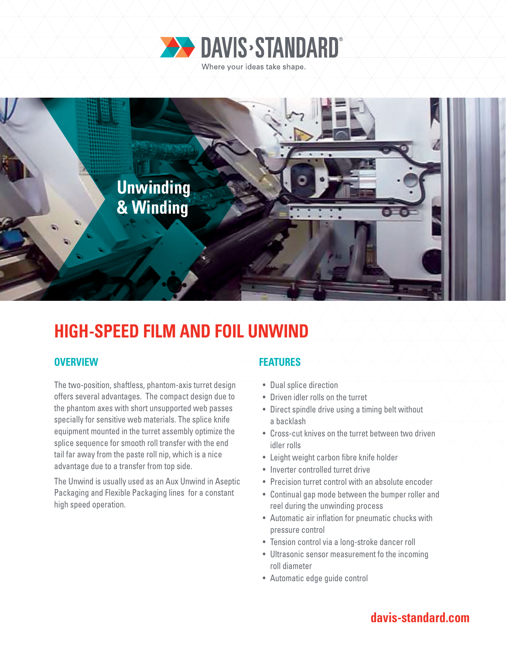



# **HIGH-SPEED FILM AND FOIL UNWIND**

### **OVERVIEW FEATURES**

The two-position, shaftless, phantom-axis turret design offers several advantages. The compact design due to the phantom axes with short unsupported web passes specially for sensitive web materials. The splice knife equipment mounted in the turret assembly optimize the splice sequence for smooth roll transfer with the end tail far away from the paste roll nip, which is a nice advantage due to a transfer from top side.

The Unwind is usually used as an Aux Unwind in Aseptic Packaging and Flexible Packaging lines for a constant high speed operation.

- Dual splice direction
- Driven idler rolls on the turret
- Direct spindle drive using a timing belt without a backlash
- Cross-cut knives on the turret between two driven idler rolls
- Leight weight carbon fibre knife holder
- Inverter controlled turret drive
- Precision turret control with an absolute encoder
- Continual gap mode between the bumper roller and reel during the unwinding process
- Automatic air inflation for pneumatic chucks with pressure control
- Tension control via a long-stroke dancer roll
- Ultrasonic sensor measurement fo the incoming roll diameter
- Automatic edge guide control

## **davis-standard.com**